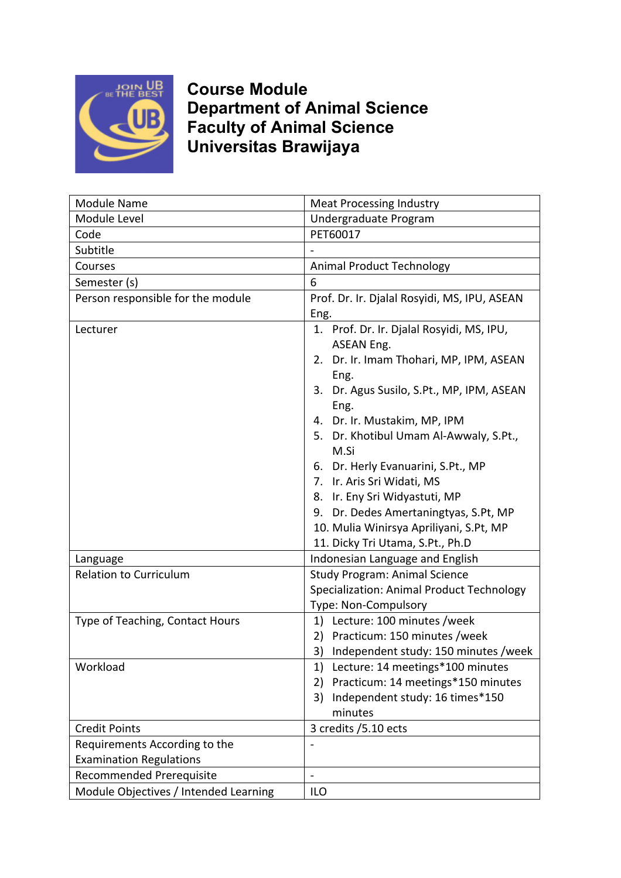

**Course Module Department of Animal Science Faculty of Animal Science Universitas Brawijaya**

| Module Name                                                     | <b>Meat Processing Industry</b>                                                                                                                                                                                                                                                                                                                                                                                                                                                          |
|-----------------------------------------------------------------|------------------------------------------------------------------------------------------------------------------------------------------------------------------------------------------------------------------------------------------------------------------------------------------------------------------------------------------------------------------------------------------------------------------------------------------------------------------------------------------|
| Module Level                                                    | Undergraduate Program                                                                                                                                                                                                                                                                                                                                                                                                                                                                    |
| Code                                                            | PET60017                                                                                                                                                                                                                                                                                                                                                                                                                                                                                 |
| Subtitle                                                        |                                                                                                                                                                                                                                                                                                                                                                                                                                                                                          |
| Courses                                                         | <b>Animal Product Technology</b>                                                                                                                                                                                                                                                                                                                                                                                                                                                         |
| Semester (s)                                                    | 6                                                                                                                                                                                                                                                                                                                                                                                                                                                                                        |
| Person responsible for the module                               | Prof. Dr. Ir. Djalal Rosyidi, MS, IPU, ASEAN<br>Eng.                                                                                                                                                                                                                                                                                                                                                                                                                                     |
| Lecturer                                                        | 1. Prof. Dr. Ir. Djalal Rosyidi, MS, IPU,<br><b>ASEAN Eng.</b><br>Dr. Ir. Imam Thohari, MP, IPM, ASEAN<br>2.<br>Eng.<br>3. Dr. Agus Susilo, S.Pt., MP, IPM, ASEAN<br>Eng.<br>4. Dr. Ir. Mustakim, MP, IPM<br>5. Dr. Khotibul Umam Al-Awwaly, S.Pt.,<br>M.Si<br>6. Dr. Herly Evanuarini, S.Pt., MP<br>7. Ir. Aris Sri Widati, MS<br>8. Ir. Eny Sri Widyastuti, MP<br>9. Dr. Dedes Amertaningtyas, S.Pt, MP<br>10. Mulia Winirsya Apriliyani, S.Pt, MP<br>11. Dicky Tri Utama, S.Pt., Ph.D |
| Language                                                        | Indonesian Language and English                                                                                                                                                                                                                                                                                                                                                                                                                                                          |
| <b>Relation to Curriculum</b>                                   | <b>Study Program: Animal Science</b><br>Specialization: Animal Product Technology<br>Type: Non-Compulsory                                                                                                                                                                                                                                                                                                                                                                                |
| Type of Teaching, Contact Hours                                 | 1) Lecture: 100 minutes /week<br>2) Practicum: 150 minutes /week<br>3) Independent study: 150 minutes / week                                                                                                                                                                                                                                                                                                                                                                             |
| Workload                                                        | Lecture: 14 meetings*100 minutes<br>1)<br>Practicum: 14 meetings*150 minutes<br>2)<br>Independent study: 16 times*150<br>3)<br>minutes                                                                                                                                                                                                                                                                                                                                                   |
| <b>Credit Points</b>                                            | 3 credits / 5.10 ects                                                                                                                                                                                                                                                                                                                                                                                                                                                                    |
| Requirements According to the<br><b>Examination Regulations</b> |                                                                                                                                                                                                                                                                                                                                                                                                                                                                                          |
| <b>Recommended Prerequisite</b>                                 | $\overline{\phantom{a}}$                                                                                                                                                                                                                                                                                                                                                                                                                                                                 |
| Module Objectives / Intended Learning                           | ILO                                                                                                                                                                                                                                                                                                                                                                                                                                                                                      |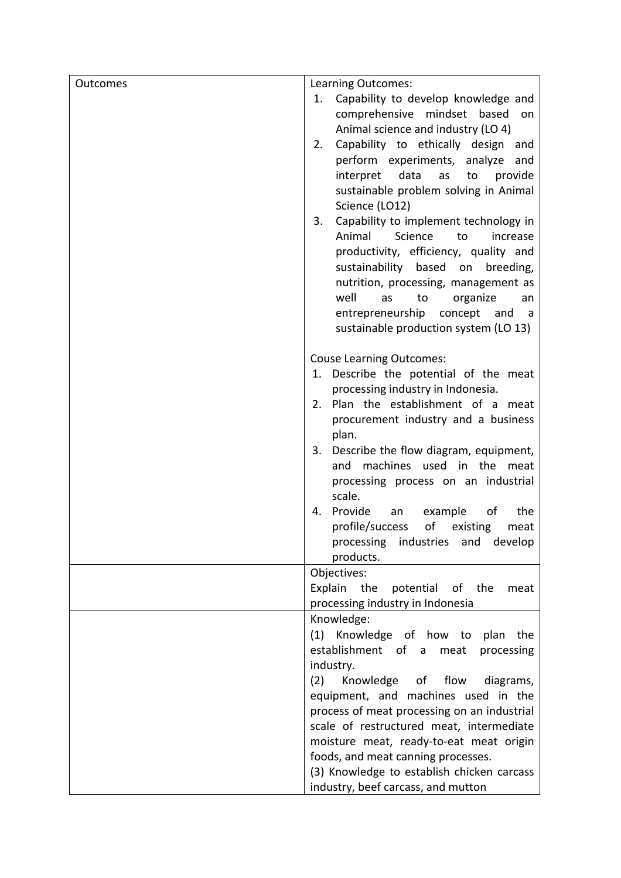| Outcomes | Learning Outcomes:                          |
|----------|---------------------------------------------|
|          | Capability to develop knowledge and<br>1.   |
|          | comprehensive<br>mindset<br>based<br>on     |
|          | Animal science and industry (LO 4)          |
|          | Capability to ethically design<br>2.<br>and |
|          | perform experiments, analyze<br>and         |
|          | data<br>interpret<br>as<br>provide<br>to    |
|          | sustainable problem solving in Animal       |
|          | Science (LO12)                              |
|          | Capability to implement technology in<br>3. |
|          | Animal<br>Science<br>to<br>increase         |
|          | productivity, efficiency, quality and       |
|          | sustainability<br>based on<br>breeding,     |
|          | nutrition, processing, management as        |
|          | well<br>as<br>to<br>organize<br>an          |
|          | entrepreneurship<br>concept<br>and<br>- a   |
|          | sustainable production system (LO 13)       |
|          |                                             |
|          | <b>Couse Learning Outcomes:</b>             |
|          | 1. Describe the potential of the meat       |
|          | processing industry in Indonesia.           |
|          | Plan the establishment of a meat<br>2.      |
|          | procurement industry and a business         |
|          | plan.                                       |
|          | Describe the flow diagram, equipment,<br>3. |
|          | machines used in the<br>and<br>meat         |
|          | processing process on an industrial         |
|          | scale.                                      |
|          | Provide<br>example<br>the<br>an<br>οf<br>4. |
|          | of<br>profile/success<br>existing<br>meat   |
|          | processing industries and develop           |
|          | products.                                   |
|          | Objectives:                                 |
|          | Explain the<br>of the<br>potential<br>meat  |
|          | processing industry in Indonesia            |
|          | Knowledge:                                  |
|          | (1) Knowledge of how to plan<br>the         |
|          | establishment of a<br>meat<br>processing    |
|          | industry.                                   |
|          | (2)<br>of flow<br>Knowledge<br>diagrams,    |
|          | equipment, and machines used in the         |
|          | process of meat processing on an industrial |
|          | scale of restructured meat, intermediate    |
|          | moisture meat, ready-to-eat meat origin     |
|          | foods, and meat canning processes.          |
|          | (3) Knowledge to establish chicken carcass  |
|          | industry, beef carcass, and mutton          |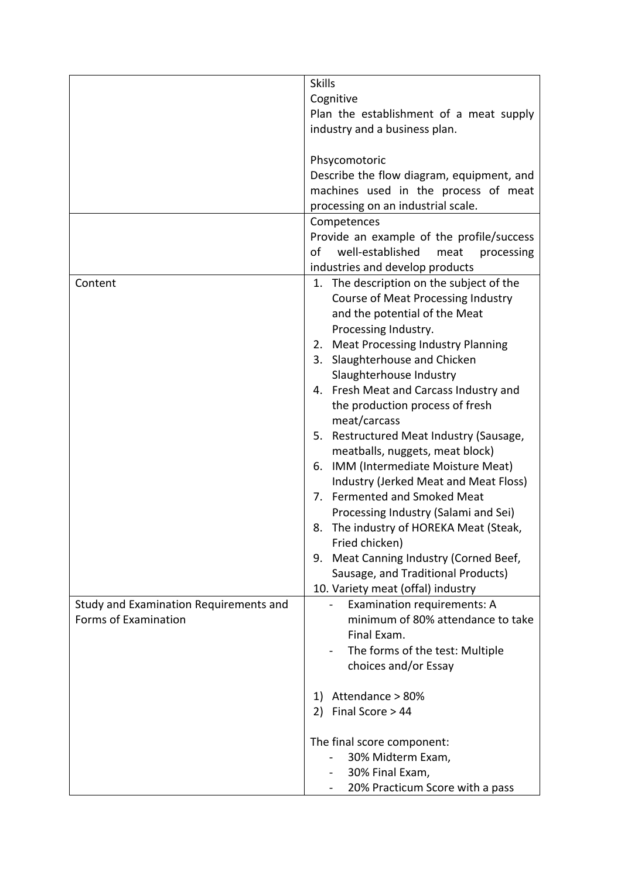|                                        | <b>Skills</b>                                |
|----------------------------------------|----------------------------------------------|
|                                        | Cognitive                                    |
|                                        | Plan the establishment of a meat supply      |
|                                        | industry and a business plan.                |
|                                        | Phsycomotoric                                |
|                                        | Describe the flow diagram, equipment, and    |
|                                        | machines used in the process of meat         |
|                                        | processing on an industrial scale.           |
|                                        | Competences                                  |
|                                        | Provide an example of the profile/success    |
|                                        | well-established<br>of<br>processing<br>meat |
|                                        | industries and develop products              |
| Content                                | 1. The description on the subject of the     |
|                                        | Course of Meat Processing Industry           |
|                                        | and the potential of the Meat                |
|                                        | Processing Industry.                         |
|                                        | 2. Meat Processing Industry Planning         |
|                                        | Slaughterhouse and Chicken<br>3.             |
|                                        | Slaughterhouse Industry                      |
|                                        | 4. Fresh Meat and Carcass Industry and       |
|                                        | the production process of fresh              |
|                                        | meat/carcass                                 |
|                                        | 5. Restructured Meat Industry (Sausage,      |
|                                        | meatballs, nuggets, meat block)              |
|                                        | IMM (Intermediate Moisture Meat)<br>6.       |
|                                        | Industry (Jerked Meat and Meat Floss)        |
|                                        | 7. Fermented and Smoked Meat                 |
|                                        | Processing Industry (Salami and Sei)         |
|                                        | The industry of HOREKA Meat (Steak,<br>8.    |
|                                        | Fried chicken)                               |
|                                        | Meat Canning Industry (Corned Beef,<br>9.    |
|                                        | Sausage, and Traditional Products)           |
|                                        | 10. Variety meat (offal) industry            |
| Study and Examination Requirements and | Examination requirements: A                  |
| Forms of Examination                   | minimum of 80% attendance to take            |
|                                        | Final Exam.                                  |
|                                        | The forms of the test: Multiple              |
|                                        | choices and/or Essay                         |
|                                        |                                              |
|                                        | Attendance > 80%<br>1)                       |
|                                        | 2) Final Score $>44$                         |
|                                        | The final score component:                   |
|                                        | 30% Midterm Exam,                            |
|                                        | 30% Final Exam,                              |
|                                        | 20% Practicum Score with a pass              |